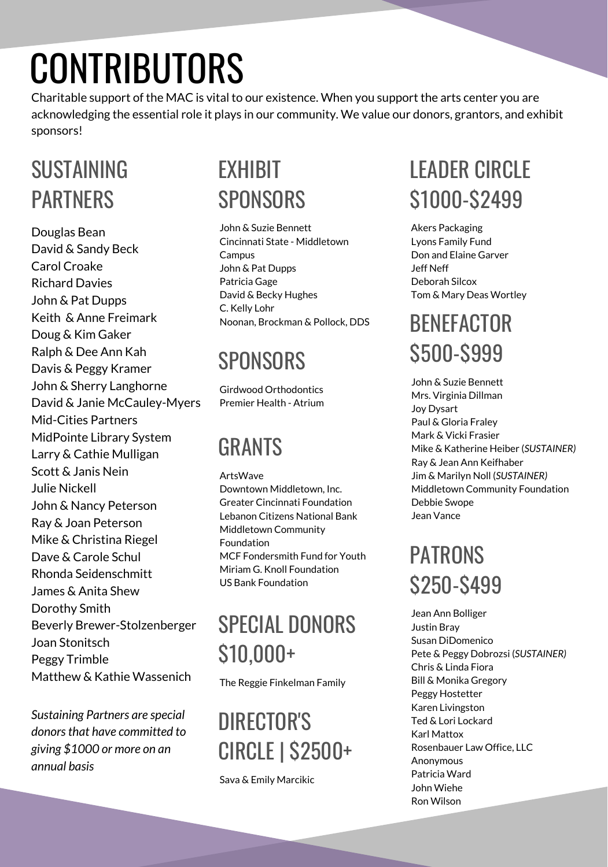# CONTRIBUTORS

Charitable support of the MAC is vital to our existence. When you support the arts center you are acknowledging the essential role it plays in our community. We value our donors, grantors, and exhibit sponsors!

#### SUSTAINING PARTNERS

Douglas Bean David & Sandy Beck Carol Croake Richard Davies John & Pat Dupps Keith & Anne Freimark Doug & Kim Gaker Ralph & Dee Ann Kah Davis & Peggy Kramer John & Sherry Langhorne David & Janie McCauley-Myers Mid-Cities Partners MidPointe Library System Larry & Cathie Mulligan Scott & Janis Nein Julie Nickell John & Nancy Peterson Ray & Joan Peterson Mike & Christina Riegel Dave & Carole Schul Rhonda Seidenschmitt James & Anita Shew Dorothy Smith Beverly Brewer-Stolzenberger Joan Stonitsch Peggy Trimble Matthew & Kathie Wassenich

*Sustaining Partners are special donorsthat have committed to giving \$1000 or more on an annual basis*

#### EXHIBIT SPONSORS

John & Suzie Bennett Cincinnati State - Middletown Campus John & Pat Dupps Patricia Gage David & Becky Hughes C. Kelly Lohr Noonan, Brockman & Pollock, DDS

### **SPONSORS**

Girdwood Orthodontics Premier Health - Atrium

#### **GRANTS**

ArtsWave Downtown Middletown, Inc. Greater Cincinnati Foundation Lebanon Citizens National Bank Middletown Community Foundation MCF Fondersmith Fund for Youth Miriam G. Knoll Foundation US Bank Foundation

# SPECIAL DONORS \$10,000+

The Reggie Finkelman Family

# DIRECTOR'S CIRCLE | \$2500+

Sava & Emily Marcikic

# **LEADER CIRCLE** \$1000-\$2499

Akers Packaging Lyons Family Fund Don and Elaine Garver Jeff Neff Deborah Silcox Tom & Mary Deas Wortley

# **BENFFACTOR** \$500-\$999

John & Suzie Bennett Mrs. Virginia Dillman Joy Dysart Paul & Gloria Fraley Mark & Vicki Frasier Mike & Katherine Heiber (*SUSTAINER)* Ray & Jean Ann Keifhaber Jim & Marilyn Noll (*SUSTAINER)* Middletown Community Foundation Debbie Swope Jean Vance

# PATRONS \$250-\$499

Jean Ann Bolliger Justin Bray Susan DiDomenico Pete & Peggy Dobrozsi (*SUSTAINER)* Chris & Linda Fiora Bill & Monika Gregory Peggy Hostetter Karen Livingston Ted & Lori Lockard Karl Mattox Rosenbauer Law Office, LLC Anonymous Patricia Ward John Wiehe Ron Wilson